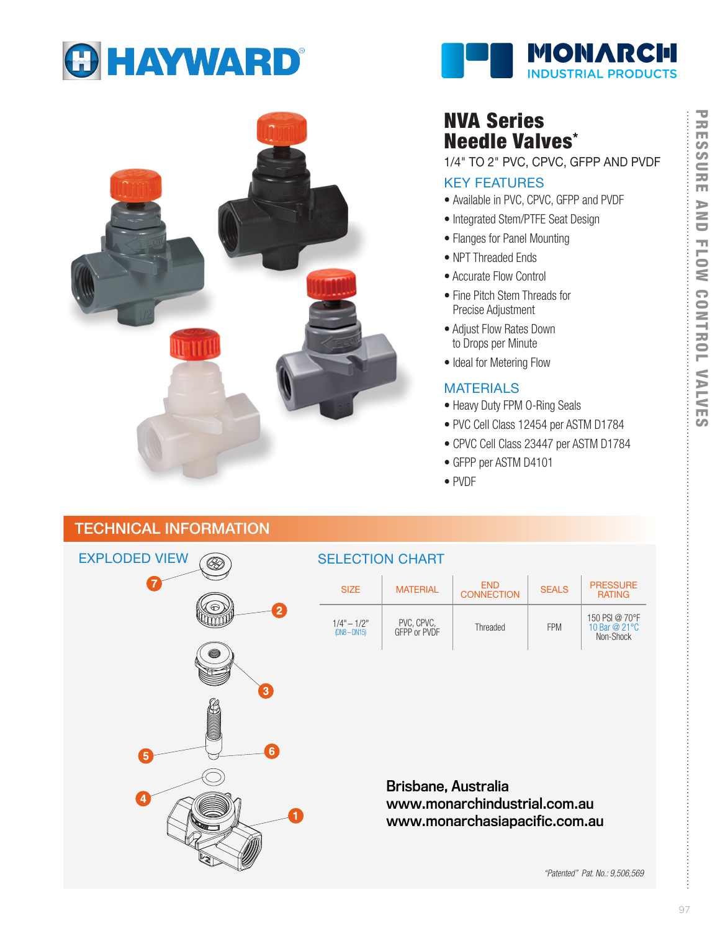





# NVA Series Needle Valves\*

1/4" TO 2" PVC, CPVC, GFPP AND PVDF

#### KEY FEATURES

- Available in PVC, CPVC, GFPP and PVDF
- Integrated Stem/PTFE Seat Design
- Flanges for Panel Mounting
- NPT Threaded Ends
- Accurate Flow Control
- Fine Pitch Stem Threads for Precise Adjustment
- Adjust Flow Rates Down to Drops per Minute
- Ideal for Metering Flow

### **MATERIALS**

- Heavy Duty FPM O-Ring Seals
- PVC Cell Class 12454 per ASTM D1784
- CPVC Cell Class 23447 per ASTM D1784
- GFPP per ASTM D4101
- PVDF

## TECHNICAL INFORMATION



### SELECTION CHART

| <b>SIZE</b>                  | <b>MATERIAL</b>            | <b>FND</b><br><b>CONNECTION</b> | <b>SEALS</b> | <b>PRESSURE</b><br><b>RATING</b>              |
|------------------------------|----------------------------|---------------------------------|--------------|-----------------------------------------------|
| $1/4" - 1/2"$<br>$DNA - DNA$ | PVC, CPVC,<br>GFPP or PVDF | Threaded                        | <b>FPM</b>   | 150 PSI @ 70°F<br>10 Bar @ 21 °C<br>Non-Shock |

*B*risbane, Australia<br>www.monarchindustrial.com.au<br>www.monarchasiapacific.com.au<br>*"Patented" Pat. No.: 9,506,569* www.monarchindustrial.com.au www.monarchasiapacific.com.au

ŧ